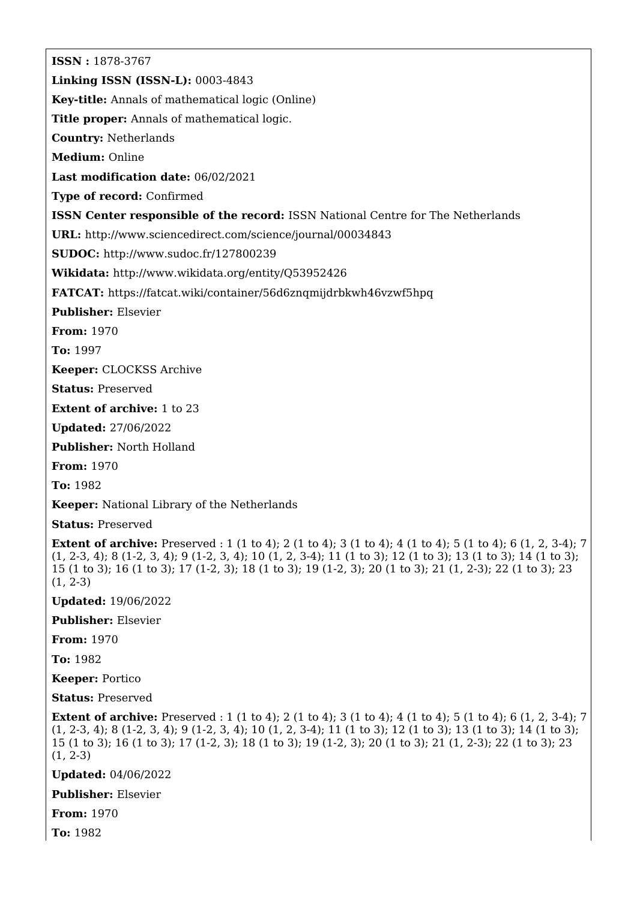**ISSN :** 1878-3767 **Linking ISSN (ISSN-L):** 0003-4843 **Key-title:** Annals of mathematical logic (Online) **Title proper:** Annals of mathematical logic. **Country:** Netherlands **Medium:** Online **Last modification date:** 06/02/2021 **Type of record:** Confirmed **ISSN Center responsible of the record:** ISSN National Centre for The Netherlands **URL:** <http://www.sciencedirect.com/science/journal/00034843> **SUDOC:** <http://www.sudoc.fr/127800239> **Wikidata:** <http://www.wikidata.org/entity/Q53952426> **FATCAT:** <https://fatcat.wiki/container/56d6znqmijdrbkwh46vzwf5hpq> **Publisher:** Elsevier **From:** 1970 **To:** 1997 **Keeper:** CLOCKSS Archive **Status:** Preserved **Extent of archive:** 1 to 23 **Updated:** 27/06/2022 **Publisher:** North Holland **From:** 1970 **To:** 1982 **Keeper:** National Library of the Netherlands **Status:** Preserved **Extent of archive:** Preserved : 1 (1 to 4); 2 (1 to 4); 3 (1 to 4); 4 (1 to 4); 5 (1 to 4); 6 (1, 2, 3-4); 7 (1, 2-3, 4); 8 (1-2, 3, 4); 9 (1-2, 3, 4); 10 (1, 2, 3-4); 11 (1 to 3); 12 (1 to 3); 13 (1 to 3); 14 (1 to 3); 15 (1 to 3); 16 (1 to 3); 17 (1-2, 3); 18 (1 to 3); 19 (1-2, 3); 20 (1 to 3); 21 (1, 2-3); 22 (1 to 3); 23 (1, 2-3) **Updated:** 19/06/2022 **Publisher:** Elsevier **From:** 1970 **To:** 1982 **Keeper:** Portico **Status:** Preserved **Extent of archive:** Preserved : 1 (1 to 4); 2 (1 to 4); 3 (1 to 4); 4 (1 to 4); 5 (1 to 4); 6 (1, 2, 3-4); 7 (1, 2-3, 4); 8 (1-2, 3, 4); 9 (1-2, 3, 4); 10 (1, 2, 3-4); 11 (1 to 3); 12 (1 to 3); 13 (1 to 3); 14 (1 to 3); 15 (1 to 3); 16 (1 to 3); 17 (1-2, 3); 18 (1 to 3); 19 (1-2, 3); 20 (1 to 3); 21 (1, 2-3); 22 (1 to 3); 23 (1, 2-3) **Updated:** 04/06/2022 **Publisher:** Elsevier

**From:** 1970

**To:** 1982